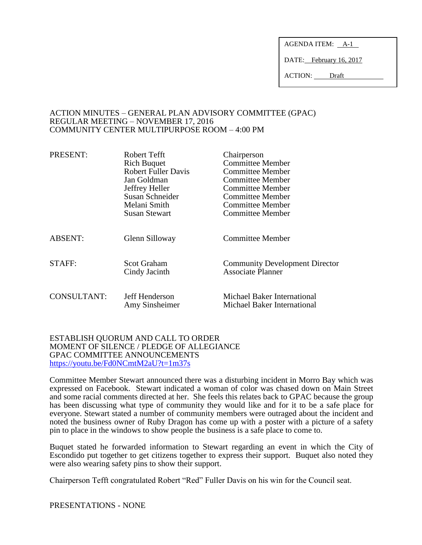AGENDA ITEM: A-1

DATE: February 16, 2017

ACTION: Draft

### ACTION MINUTES – GENERAL PLAN ADVISORY COMMITTEE (GPAC) REGULAR MEETING – NOVEMBER 17, 2016 COMMUNITY CENTER MULTIPURPOSE ROOM – 4:00 PM

| PRESENT:       | Robert Tefft                        | Chairperson                                                       |
|----------------|-------------------------------------|-------------------------------------------------------------------|
|                | <b>Rich Buquet</b>                  | <b>Committee Member</b>                                           |
|                | <b>Robert Fuller Davis</b>          | Committee Member                                                  |
|                | Jan Goldman                         | Committee Member                                                  |
|                | Jeffrey Heller                      | Committee Member                                                  |
|                | Susan Schneider                     | Committee Member                                                  |
|                | Melani Smith                        | Committee Member                                                  |
|                | <b>Susan Stewart</b>                | Committee Member                                                  |
| <b>ABSENT:</b> | Glenn Silloway                      | <b>Committee Member</b>                                           |
| STAFF:         | <b>Scot Graham</b><br>Cindy Jacinth | <b>Community Development Director</b><br><b>Associate Planner</b> |
| CONSULTANT:    | Jeff Henderson<br>Amy Sinsheimer    | Michael Baker International<br>Michael Baker International        |

## ESTABLISH QUORUM AND CALL TO ORDER MOMENT OF SILENCE / PLEDGE OF ALLEGIANCE GPAC COMMITTEE ANNOUNCEMENTS <https://youtu.be/Fd0NCmtM2aU?t=1m37s>

Committee Member Stewart announced there was a disturbing incident in Morro Bay which was expressed on Facebook. Stewart indicated a woman of color was chased down on Main Street and some racial comments directed at her. She feels this relates back to GPAC because the group has been discussing what type of community they would like and for it to be a safe place for everyone. Stewart stated a number of community members were outraged about the incident and noted the business owner of Ruby Dragon has come up with a poster with a picture of a safety pin to place in the windows to show people the business is a safe place to come to.

Buquet stated he forwarded information to Stewart regarding an event in which the City of Escondido put together to get citizens together to express their support. Buquet also noted they were also wearing safety pins to show their support.

Chairperson Tefft congratulated Robert "Red" Fuller Davis on his win for the Council seat.

PRESENTATIONS - NONE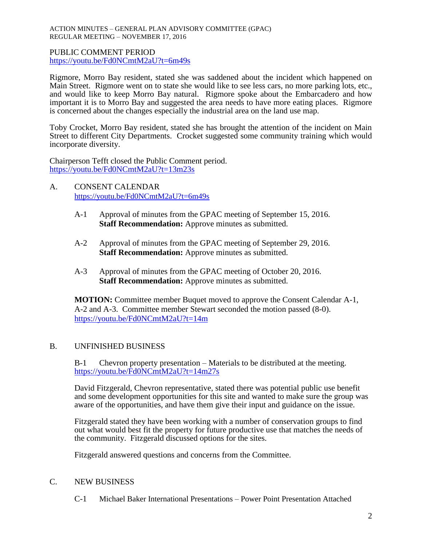#### ACTION MINUTES – GENERAL PLAN ADVISORY COMMITTEE (GPAC) REGULAR MEETING – NOVEMBER 17, 2016

## PUBLIC COMMENT PERIOD <https://youtu.be/Fd0NCmtM2aU?t=6m49s>

Rigmore, Morro Bay resident, stated she was saddened about the incident which happened on Main Street. Rigmore went on to state she would like to see less cars, no more parking lots, etc., and would like to keep Morro Bay natural. Rigmore spoke about the Embarcadero and how important it is to Morro Bay and suggested the area needs to have more eating places. Rigmore is concerned about the changes especially the industrial area on the land use map.

Toby Crocket, Morro Bay resident, stated she has brought the attention of the incident on Main Street to different City Departments. Crocket suggested some community training which would incorporate diversity.

Chairperson Tefft closed the Public Comment period. <https://youtu.be/Fd0NCmtM2aU?t=13m23s>

- A. CONSENT CALENDAR <https://youtu.be/Fd0NCmtM2aU?t=6m49s>
	- A-1 Approval of minutes from the GPAC meeting of September 15, 2016. **Staff Recommendation:** Approve minutes as submitted.
	- A-2 Approval of minutes from the GPAC meeting of September 29, 2016. **Staff Recommendation:** Approve minutes as submitted.
	- A-3 Approval of minutes from the GPAC meeting of October 20, 2016. **Staff Recommendation:** Approve minutes as submitted.

**MOTION:** Committee member Buquet moved to approve the Consent Calendar A-1, A-2 and A-3. Committee member Stewart seconded the motion passed (8-0). <https://youtu.be/Fd0NCmtM2aU?t=14m>

# B. UNFINISHED BUSINESS

B-1 Chevron property presentation – Materials to be distributed at the meeting. <https://youtu.be/Fd0NCmtM2aU?t=14m27s>

David Fitzgerald, Chevron representative, stated there was potential public use benefit and some development opportunities for this site and wanted to make sure the group was aware of the opportunities, and have them give their input and guidance on the issue.

Fitzgerald stated they have been working with a number of conservation groups to find out what would best fit the property for future productive use that matches the needs of the community. Fitzgerald discussed options for the sites.

Fitzgerald answered questions and concerns from the Committee.

# C. NEW BUSINESS

C-1 Michael Baker International Presentations – Power Point Presentation Attached